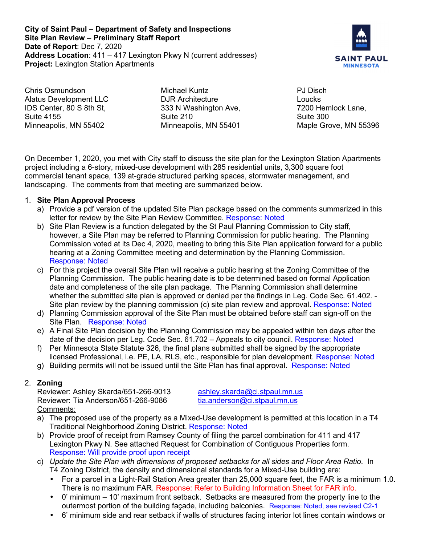**City of Saint Paul – Department of Safety and Inspections Site Plan Review – Preliminary Staff Report Date of Report**: Dec 7, 2020 **Address Location**: 411 – 417 Lexington Pkwy N (current addresses) **Project:** Lexington Station Apartments



Chris Osmundson Alatus Development LLC IDS Center, 80 S 8th St, Suite 4155 Minneapolis, MN 55402

Michael Kuntz DJR Architecture 333 N Washington Ave, Suite 210 Minneapolis, MN 55401

PJ Disch Loucks 7200 Hemlock Lane, Suite 300 Maple Grove, MN 55396

On December 1, 2020, you met with City staff to discuss the site plan for the Lexington Station Apartments project including a 6-story, mixed-use development with 285 residential units, 3,300 square foot commercial tenant space, 139 at-grade structured parking spaces, stormwater management, and landscaping. The comments from that meeting are summarized below.

## 1. **Site Plan Approval Process**

- a) Provide a pdf version of the updated Site Plan package based on the comments summarized in this letter for review by the Site Plan Review Committee. Response: Noted
- b) Site Plan Review is a function delegated by the St Paul Planning Commission to City staff, however, a Site Plan may be referred to Planning Commission for public hearing. The Planning Commission voted at its Dec 4, 2020, meeting to bring this Site Plan application forward for a public hearing at a Zoning Committee meeting and determination by the Planning Commission. Response: Noted
- c) For this project the overall Site Plan will receive a public hearing at the Zoning Committee of the Planning Commission. The public hearing date is to be determined based on formal Application date and completeness of the site plan package. The Planning Commission shall determine whether the submitted site plan is approved or denied per the findings in Leg. Code Sec. 61.402. - Site plan review by the planning commission (c) site plan review and approval. Response: Noted
- d) Planning Commission approval of the Site Plan must be obtained before staff can sign-off on the Site Plan. Response: Noted
- e) A Final Site Plan decision by the Planning Commission may be appealed within ten days after the date of the decision per Leg. Code Sec. 61.702 – Appeals to city council. Response: Noted
- f) Per Minnesota State Statute 326, the final plans submitted shall be signed by the appropriate licensed Professional, i.e. PE, LA, RLS, etc., responsible for plan development. Response: Noted
- g) Building permits will not be issued until the Site Plan has final approval. Response: Noted

# 2. **Zoning**

Reviewer: Ashley Skarda/651-266-9013 ashley.skarda@ci.stpaul.mn.us<br>Reviewer: Tia Anderson/651-266-9086 tia.anderson@ci.stpaul.mn.us Reviewer: Tia Anderson/651-266-9086 Comments:

- a) The proposed use of the property as a Mixed-Use development is permitted at this location in a T4 Traditional Neighborhood Zoning District. Response: Noted
- b) Provide proof of receipt from Ramsey County of filing the parcel combination for 411 and 417 Lexington Pkwy N. See attached Request for Combination of Contiguous Properties form. Response: Will provide proof upon receipt
- c) *Update the Site Plan with dimensions of proposed setbacks for all sides and Floor Area Ratio*. In T4 Zoning District, the density and dimensional standards for a Mixed-Use building are:
	- For a parcel in a Light-Rail Station Area greater than 25,000 square feet, the FAR is a minimum 1.0. There is no maximum FAR. Response: Refer to Building Information Sheet for FAR info.
	- 0' minimum 10' maximum front setback. Setbacks are measured from the property line to the outermost portion of the building façade, including balconies. Response: Noted, see revised C2-1
	- 6' minimum side and rear setback if walls of structures facing interior lot lines contain windows or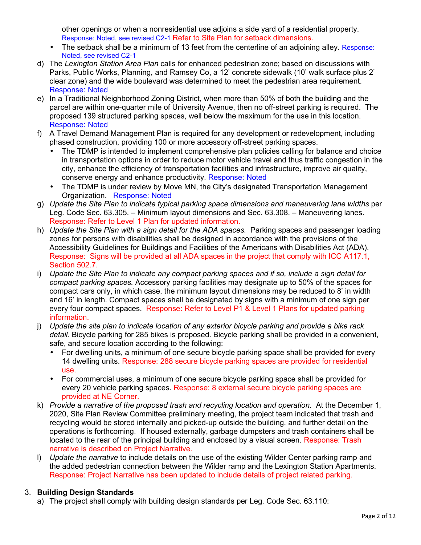other openings or when a nonresidential use adjoins a side yard of a residential property. Response: Noted, see revised C2-1 Refer to Site Plan for setback dimensions.

- The setback shall be a minimum of 13 feet from the centerline of an adioining alley. Response: Noted, see revised C2-1
- d) The *Lexington Station Area Plan* calls for enhanced pedestrian zone; based on discussions with Parks, Public Works, Planning, and Ramsey Co, a 12' concrete sidewalk (10' walk surface plus 2' clear zone) and the wide boulevard was determined to meet the pedestrian area requirement. Response: Noted
- e) In a Traditional Neighborhood Zoning District, when more than 50% of both the building and the parcel are within one-quarter mile of University Avenue, then no off-street parking is required. The proposed 139 structured parking spaces, well below the maximum for the use in this location. Response: Noted
- f) A Travel Demand Management Plan is required for any development or redevelopment, including phased construction, providing 100 or more accessory off-street parking spaces.
	- The TDMP is intended to implement comprehensive plan policies calling for balance and choice in transportation options in order to reduce motor vehicle travel and thus traffic congestion in the city, enhance the efficiency of transportation facilities and infrastructure, improve air quality, conserve energy and enhance productivity. Response: Noted
	- The TDMP is under review by Move MN, the City's designated Transportation Management Organization. Response: Noted
- g) *Update the Site Plan to indicate typical parking space dimensions and maneuvering lane widths* per Leg. Code Sec. 63.305. – Minimum layout dimensions and Sec. 63.308. – Maneuvering lanes. Response: Refer to Level 1 Plan for updated information.
- h) *Update the Site Plan with a sign detail for the ADA spaces.* Parking spaces and passenger loading zones for persons with disabilities shall be designed in accordance with the provisions of the Accessibility Guidelines for Buildings and Facilities of the Americans with Disabilities Act (ADA). Response: Signs will be provided at all ADA spaces in the project that comply with ICC A117.1, Section 502.7.
- i) *Update the Site Plan to indicate any compact parking spaces and if so, include a sign detail for compact parking spaces.* Accessory parking facilities may designate up to 50% of the spaces for compact cars only, in which case, the minimum layout dimensions may be reduced to 8' in width and 16' in length. Compact spaces shall be designated by signs with a minimum of one sign per every four compact spaces. Response: Refer to Level P1 & Level 1 Plans for updated parking information.
- j) *Update the site plan to indicate location of any exterior bicycle parking and provide a bike rack detail.* Bicycle parking for 285 bikes is proposed. Bicycle parking shall be provided in a convenient, safe, and secure location according to the following:
	- For dwelling units, a minimum of one secure bicycle parking space shall be provided for every 14 dwelling units. Response: 288 secure bicycle parking spaces are provided for residential use.
	- For commercial uses, a minimum of one secure bicycle parking space shall be provided for every 20 vehicle parking spaces. Response: 8 external secure bicycle parking spaces are provided at NE Corner.
- k) *Provide a narrative of the proposed trash and recycling location and operation*. At the December 1, 2020, Site Plan Review Committee preliminary meeting, the project team indicated that trash and recycling would be stored internally and picked-up outside the building, and further detail on the operations is forthcoming. If housed externally, garbage dumpsters and trash containers shall be located to the rear of the principal building and enclosed by a visual screen. Response: Trash narrative is described on Project Narrative.
- l) *Update the narrative* to include details on the use of the existing Wilder Center parking ramp and the added pedestrian connection between the Wilder ramp and the Lexington Station Apartments. Response: Project Narrative has been updated to include details of project related parking.

# 3. **Building Design Standards**

a) The project shall comply with building design standards per Leg. Code Sec. 63.110: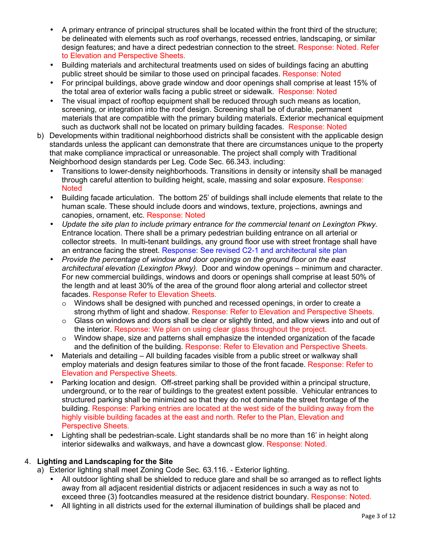- A primary entrance of principal structures shall be located within the front third of the structure; be delineated with elements such as roof overhangs, recessed entries, landscaping, or similar design features; and have a direct pedestrian connection to the street. Response: Noted. Refer to Elevation and Perspective Sheets.
- Building materials and architectural treatments used on sides of buildings facing an abutting public street should be similar to those used on principal facades. Response: Noted
- For principal buildings, above grade window and door openings shall comprise at least 15% of the total area of exterior walls facing a public street or sidewalk. Response: Noted
- The visual impact of rooftop equipment shall be reduced through such means as location, screening, or integration into the roof design. Screening shall be of durable, permanent materials that are compatible with the primary building materials. Exterior mechanical equipment such as ductwork shall not be located on primary building facades. Response: Noted
- b) Developments within traditional neighborhood districts shall be consistent with the applicable design standards unless the applicant can demonstrate that there are circumstances unique to the property that make compliance impractical or unreasonable. The project shall comply with Traditional Neighborhood design standards per Leg. Code Sec. 66.343. including:
	- Transitions to lower-density neighborhoods. Transitions in density or intensity shall be managed through careful attention to building height, scale, massing and solar exposure. Response: **Noted**
	- Building facade articulation. The bottom 25' of buildings shall include elements that relate to the human scale. These should include doors and windows, texture, projections, awnings and canopies, ornament, etc. Response: Noted
	- *Update the site plan to include primary entrance for the commercial tenant on Lexington Pkwy.*  Entrance location. There shall be a primary pedestrian building entrance on all arterial or collector streets. In multi-tenant buildings, any ground floor use with street frontage shall have an entrance facing the street. Response: See revised C2-1 and architectural site plan
	- *Provide the percentage of window and door openings on the ground floor on the east architectural elevation (Lexington Pkwy).* Door and window openings – minimum and character. For new commercial buildings, windows and doors or openings shall comprise at least 50% of the length and at least 30% of the area of the ground floor along arterial and collector street facades. Response Refer to Elevation Sheets.
		- o Windows shall be designed with punched and recessed openings, in order to create a strong rhythm of light and shadow. Response: Refer to Elevation and Perspective Sheets.
		- $\circ$  Glass on windows and doors shall be clear or slightly tinted, and allow views into and out of the interior. Response: We plan on using clear glass throughout the project.
		- $\circ$  Window shape, size and patterns shall emphasize the intended organization of the facade and the definition of the building. Response: Refer to Elevation and Perspective Sheets.
	- Materials and detailing All building facades visible from a public street or walkway shall employ materials and design features similar to those of the front facade. Response: Refer to Elevation and Perspective Sheets.
	- Parking location and design. Off-street parking shall be provided within a principal structure, underground, or to the rear of buildings to the greatest extent possible. Vehicular entrances to structured parking shall be minimized so that they do not dominate the street frontage of the building. Response: Parking entries are located at the west side of the building away from the highly visible building facades at the east and north. Refer to the Plan, Elevation and Perspective Sheets.
	- Lighting shall be pedestrian-scale. Light standards shall be no more than 16' in height along interior sidewalks and walkways, and have a downcast glow. Response: Noted.

# 4. **Lighting and Landscaping for the Site**

- a) Exterior lighting shall meet Zoning Code Sec. 63.116. Exterior lighting.
	- All outdoor lighting shall be shielded to reduce glare and shall be so arranged as to reflect lights away from all adjacent residential districts or adjacent residences in such a way as not to exceed three (3) footcandles measured at the residence district boundary. Response: Noted.
	- All lighting in all districts used for the external illumination of buildings shall be placed and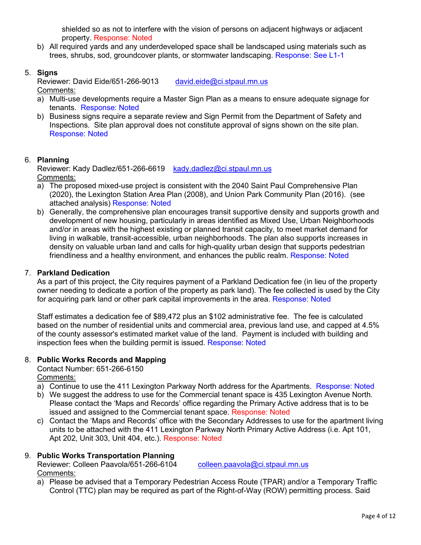shielded so as not to interfere with the vision of persons on adjacent highways or adjacent property. Response: Noted

b) All required yards and any underdeveloped space shall be landscaped using materials such as trees, shrubs, sod, groundcover plants, or stormwater landscaping. Response: See L1-1

## 5. **Signs**

Reviewer: David Eide/651-266-9013 david.eide@ci.stpaul.mn.us Comments:

- a) Multi-use developments require a Master Sign Plan as a means to ensure adequate signage for tenants. Response: Noted
- b) Business signs require a separate review and Sign Permit from the Department of Safety and Inspections. Site plan approval does not constitute approval of signs shown on the site plan. Response: Noted

## 6. **Planning**

Reviewer: Kady Dadlez/651-266-6619 kady.dadlez@ci.stpaul.mn.us Comments:

- a) The proposed mixed-use project is consistent with the 2040 Saint Paul Comprehensive Plan (2020), the Lexington Station Area Plan (2008), and Union Park Community Plan (2016). (see attached analysis) Response: Noted
- b) Generally, the comprehensive plan encourages transit supportive density and supports growth and development of new housing, particularly in areas identified as Mixed Use, Urban Neighborhoods and/or in areas with the highest existing or planned transit capacity, to meet market demand for living in walkable, transit-accessible, urban neighborhoods. The plan also supports increases in density on valuable urban land and calls for high-quality urban design that supports pedestrian friendliness and a healthy environment, and enhances the public realm. Response: Noted

#### 7. **Parkland Dedication**

As a part of this project, the City requires payment of a Parkland Dedication fee (in lieu of the property owner needing to dedicate a portion of the property as park land). The fee collected is used by the City for acquiring park land or other park capital improvements in the area. Response: Noted

Staff estimates a dedication fee of \$89,472 plus an \$102 administrative fee. The fee is calculated based on the number of residential units and commercial area, previous land use, and capped at 4.5% of the county assessor's estimated market value of the land. Payment is included with building and inspection fees when the building permit is issued. Response: Noted

#### 8. **Public Works Records and Mapping**

Contact Number: 651-266-6150 Comments:

- a) Continue to use the 411 Lexington Parkway North address for the Apartments. Response: Noted
- b) We suggest the address to use for the Commercial tenant space is 435 Lexington Avenue North. Please contact the 'Maps and Records' office regarding the Primary Active address that is to be issued and assigned to the Commercial tenant space. Response: Noted
- c) Contact the 'Maps and Records' office with the Secondary Addresses to use for the apartment living units to be attached with the 411 Lexington Parkway North Primary Active Address (i.e. Apt 101, Apt 202, Unit 303, Unit 404, etc.). Response: Noted

### 9. **Public Works Transportation Planning**

Reviewer: Colleen Paavola/651-266-6104 colleen.paavola@ci.stpaul.mn.us Comments:

a) Please be advised that a Temporary Pedestrian Access Route (TPAR) and/or a Temporary Traffic Control (TTC) plan may be required as part of the Right-of-Way (ROW) permitting process. Said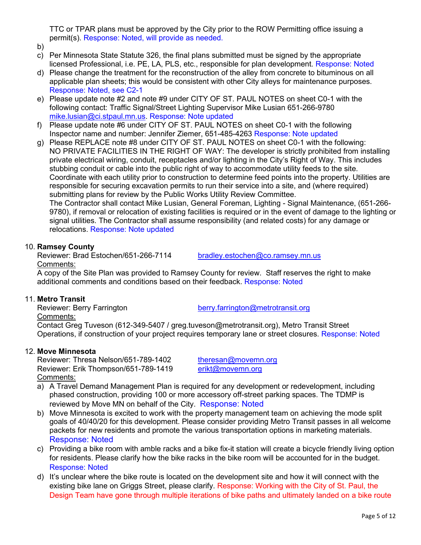TTC or TPAR plans must be approved by the City prior to the ROW Permitting office issuing a permit(s). Response: Noted, will provide as needed.

- b)
- c) Per Minnesota State Statute 326, the final plans submitted must be signed by the appropriate licensed Professional, i.e. PE, LA, PLS, etc., responsible for plan development. Response: Noted
- d) Please change the treatment for the reconstruction of the alley from concrete to bituminous on all applicable plan sheets; this would be consistent with other City alleys for maintenance purposes. Response: Noted, see C2-1
- e) Please update note #2 and note #9 under CITY OF ST. PAUL NOTES on sheet C0-1 with the following contact: Traffic Signal/Street Lighting Supervisor Mike Lusian 651-266-9780 mike.lusian@ci.stpaul.mn.us. Response: Note updated
- f) Please update note #6 under CITY OF ST. PAUL NOTES on sheet C0-1 with the following Inspector name and number: Jennifer Ziemer, 651-485-4263 Response: Note updated
- g) Please REPLACE note #8 under CITY OF ST. PAUL NOTES on sheet C0-1 with the following: NO PRIVATE FACILITIES IN THE RIGHT OF WAY: The developer is strictly prohibited from installing private electrical wiring, conduit, receptacles and/or lighting in the City's Right of Way. This includes stubbing conduit or cable into the public right of way to accommodate utility feeds to the site. Coordinate with each utility prior to construction to determine feed points into the property. Utilities are responsible for securing excavation permits to run their service into a site, and (where required) submitting plans for review by the Public Works Utility Review Committee.

The Contractor shall contact Mike Lusian, General Foreman, Lighting - Signal Maintenance, (651-266- 9780), if removal or relocation of existing facilities is required or in the event of damage to the lighting or signal utilities. The Contractor shall assume responsibility (and related costs) for any damage or relocations. Response: Note updated

# 10. **Ramsey County**

Reviewer: Brad Estochen/651-266-7114 bradley.estochen@co.ramsey.mn.us Comments:

A copy of the Site Plan was provided to Ramsey County for review. Staff reserves the right to make additional comments and conditions based on their feedback. Response: Noted

11. **Metro Transit**  Comments:

berry farrington @metrotransit.org

Contact Greg Tuveson (612-349-5407 / greg.tuveson@metrotransit.org), Metro Transit Street Operations, if construction of your project requires temporary lane or street closures. Response: Noted

# 12. **Move Minnesota**

Reviewer: Thresa Nelson/651-789-1402 theresan@movemn.org Reviewer: Erik Thompson/651-789-1419 erikt@movemn.org Comments:

- a) A Travel Demand Management Plan is required for any development or redevelopment, including phased construction, providing 100 or more accessory off-street parking spaces. The TDMP is reviewed by Move MN on behalf of the City. Response: Noted
- b) Move Minnesota is excited to work with the property management team on achieving the mode split goals of 40/40/20 for this development. Please consider providing Metro Transit passes in all welcome packets for new residents and promote the various transportation options in marketing materials. Response: Noted
- c) Providing a bike room with amble racks and a bike fix-it station will create a bicycle friendly living option for residents. Please clarify how the bike racks in the bike room will be accounted for in the budget. Response: Noted
- d) It's unclear where the bike route is located on the development site and how it will connect with the existing bike lane on Griggs Street, please clarify. Response: Working with the City of St. Paul, the Design Team have gone through multiple iterations of bike paths and ultimately landed on a bike route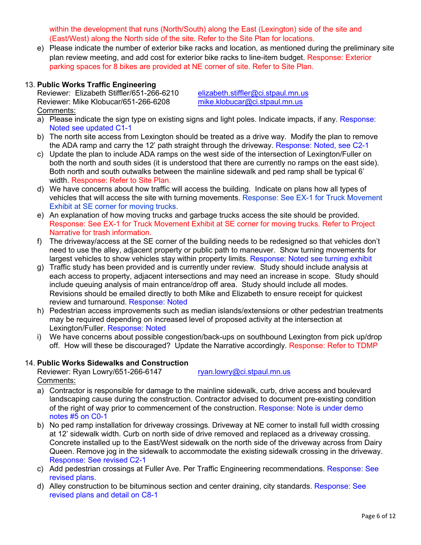within the development that runs (North/South) along the East (Lexington) side of the site and (East/West) along the North side of the site. Refer to the Site Plan for locations.

e) Please indicate the number of exterior bike racks and location, as mentioned during the preliminary site plan review meeting, and add cost for exterior bike racks to line-item budget. Response: Exterior parking spaces for 8 bikes are provided at NE corner of site. Refer to Site Plan.

## 13. **Public Works Traffic Engineering**

Reviewer: Elizabeth Stiffler/651-266-6210 elizabeth.stiffler@ci.stpaul.mn.us Reviewer: Mike Klobucar/651-266-6208 mike.klobucar@ci.stpaul.mn.us Comments:

- a) Please indicate the sign type on existing signs and light poles. Indicate impacts, if any. Response: Noted see updated C1-1
- b) The north site access from Lexington should be treated as a drive way. Modify the plan to remove the ADA ramp and carry the 12' path straight through the driveway. Response: Noted, see C2-1
- c) Update the plan to include ADA ramps on the west side of the intersection of Lexington/Fuller on both the north and south sides (it is understood that there are currently no ramps on the east side). Both north and south outwalks between the mainline sidewalk and ped ramp shall be typical 6' width. Response: Refer to Site Plan.
- d) We have concerns about how traffic will access the building. Indicate on plans how all types of vehicles that will access the site with turning movements. Response: See EX-1 for Truck Movement Exhibit at SE corner for moving trucks.
- e) An explanation of how moving trucks and garbage trucks access the site should be provided. Response: See EX-1 for Truck Movement Exhibit at SE corner for moving trucks. Refer to Project Narrative for trash information.
- f) The driveway/access at the SE corner of the building needs to be redesigned so that vehicles don't need to use the alley, adjacent property or public path to maneuver. Show turning movements for largest vehicles to show vehicles stay within property limits. Response: Noted see turning exhibit
- g) Traffic study has been provided and is currently under review. Study should include analysis at each access to property, adjacent intersections and may need an increase in scope. Study should include queuing analysis of main entrance/drop off area. Study should include all modes. Revisions should be emailed directly to both Mike and Elizabeth to ensure receipt for quickest review and turnaround. Response: Noted
- h) Pedestrian access improvements such as median islands/extensions or other pedestrian treatments may be required depending on increased level of proposed activity at the intersection at Lexington/Fuller. Response: Noted
- i) We have concerns about possible congestion/back-ups on southbound Lexington from pick up/drop off. How will these be discouraged? Update the Narrative accordingly. Response: Refer to TDMP

### 14. **Public Works Sidewalks and Construction**

Reviewer: Ryan Lowry/651-266-6147 ryan.lowry@ci.stpaul.mn.us Comments:

- a) Contractor is responsible for damage to the mainline sidewalk, curb, drive access and boulevard landscaping cause during the construction. Contractor advised to document pre-existing condition of the right of way prior to commencement of the construction. Response: Note is under demo notes #5 on C0-1
- b) No ped ramp installation for driveway crossings. Driveway at NE corner to install full width crossing at 12' sidewalk width. Curb on north side of drive removed and replaced as a driveway crossing. Concrete installed up to the East/West sidewalk on the north side of the driveway across from Dairy Queen. Remove jog in the sidewalk to accommodate the existing sidewalk crossing in the driveway. Response: See revised C2-1
- c) Add pedestrian crossings at Fuller Ave. Per Traffic Engineering recommendations. Response: See revised plans.
- d) Alley construction to be bituminous section and center draining, city standards. Response: See revised plans and detail on C8-1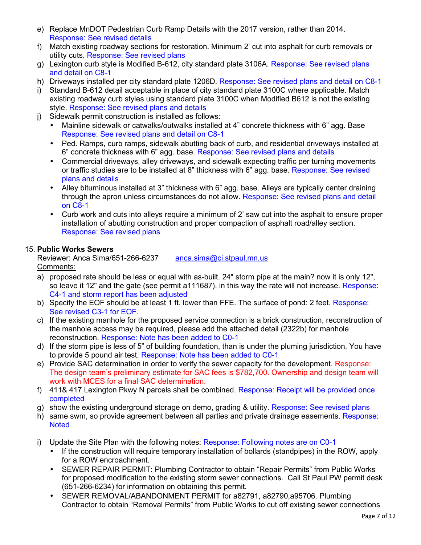- e) Replace MnDOT Pedestrian Curb Ramp Details with the 2017 version, rather than 2014. Response: See revised details
- f) Match existing roadway sections for restoration. Minimum 2' cut into asphalt for curb removals or utility cuts. Response: See revised plans
- g) Lexington curb style is Modified B-612, city standard plate 3106A. Response: See revised plans and detail on C8-1
- h) Driveways installed per city standard plate 1206D. Response: See revised plans and detail on C8-1
- i) Standard B-612 detail acceptable in place of city standard plate 3100C where applicable. Match existing roadway curb styles using standard plate 3100C when Modified B612 is not the existing style. Response: See revised plans and details
- j) Sidewalk permit construction is installed as follows:
	- Mainline sidewalk or catwalks/outwalks installed at 4" concrete thickness with 6" agg. Base Response: See revised plans and detail on C8-1
	- Ped. Ramps, curb ramps, sidewalk abutting back of curb, and residential driveways installed at 6" concrete thickness with 6" agg. base. Response: See revised plans and details
	- Commercial driveways, alley driveways, and sidewalk expecting traffic per turning movements or traffic studies are to be installed at 8" thickness with 6" agg. base. Response: See revised plans and details
	- Alley bituminous installed at 3" thickness with 6" agg. base. Alleys are typically center draining through the apron unless circumstances do not allow. Response: See revised plans and detail on C8-1
	- Curb work and cuts into alleys require a minimum of 2' saw cut into the asphalt to ensure proper installation of abutting construction and proper compaction of asphalt road/alley section. Response: See revised plans

## 15. **Public Works Sewers**

Reviewer: Anca Sima/651-266-6237 anca.sima@ci.stpaul.mn.us Comments:

- a) proposed rate should be less or equal with as-built. 24" storm pipe at the main? now it is only 12", so leave it 12" and the gate (see permit a111687), in this way the rate will not increase. Response: C4-1 and storm report has been adjusted
- b) Specify the EOF should be at least 1 ft. lower than FFE. The surface of pond: 2 feet. Response: See revised C3-1 for EOF.
- c) If the existing manhole for the proposed service connection is a brick construction, reconstruction of the manhole access may be required, please add the attached detail (2322b) for manhole reconstruction. Response: Note has been added to C0-1
- d) If the storm pipe is less of 5" of building foundation, than is under the pluming jurisdiction. You have to provide 5 pound air test. Response: Note has been added to C0-1
- e) Provide SAC determination in order to verify the sewer capacity for the development. Response: The design team's preliminary estimate for SAC fees is \$782,700. Ownership and design team will work with MCES for a final SAC determination.
- f) 411& 417 Lexington Pkwy N parcels shall be combined. Response: Receipt will be provided once completed
- g) show the existing underground storage on demo, grading & utility. Response: See revised plans
- h) same swm, so provide agreement between all parties and private drainage easements. Response: **Noted**
- i) Update the Site Plan with the following notes: Response: Following notes are on C0-1
	- If the construction will require temporary installation of bollards (standpipes) in the ROW, apply for a ROW encroachment.
	- SEWER REPAIR PERMIT: Plumbing Contractor to obtain "Repair Permits" from Public Works for proposed modification to the existing storm sewer connections. Call St Paul PW permit desk (651-266-6234) for information on obtaining this permit.
	- SEWER REMOVAL/ABANDONMENT PERMIT for a82791, a82790, a 95706. Plumbing Contractor to obtain "Removal Permits" from Public Works to cut off existing sewer connections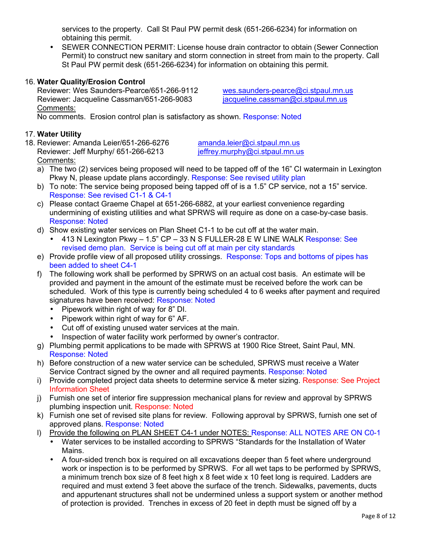services to the property. Call St Paul PW permit desk (651-266-6234) for information on obtaining this permit.

• SEWER CONNECTION PERMIT: License house drain contractor to obtain (Sewer Connection Permit) to construct new sanitary and storm connection in street from main to the property. Call St Paul PW permit desk (651-266-6234) for information on obtaining this permit.

# 16. **Water Quality/Erosion Control**

Reviewer: Wes Saunders-Pearce/651-266-9112 wes.saunders-pearce@ci.stpaul.mn.us Reviewer: Jacqueline Cassman/651-266-9083 jacqueline.cassman@ci.stpaul.mn.us Comments:

No comments. Erosion control plan is satisfactory as shown. Response: Noted

# 17. **Water Utility**

18. Reviewer: Amanda Leier/651-266-6276 amanda.leier@ci.stpaul.mn.us<br>Reviewer: Jeff Murphy/ 651-266-6213 ieffrey.murphy@ci.stpaul.mn.us Reviewer: Jeff Murphy/ 651-266-6213 Comments:

- a) The two (2) services being proposed will need to be tapped off of the 16" CI watermain in Lexington Pkwy N, please update plans accordingly. Response: See revised utility plan
- b) To note: The service being proposed being tapped off of is a 1.5" CP service, not a 15" service. Response: See revised C1-1 & C4-1
- c) Please contact Graeme Chapel at 651-266-6882, at your earliest convenience regarding undermining of existing utilities and what SPRWS will require as done on a case-by-case basis. Response: Noted
- d) Show existing water services on Plan Sheet C1-1 to be cut off at the water main.
	- $\bullet$  413 N Lexington Pkwy 1.5" CP 33 N S FULLER-28 E W LINE WALK Response: See revised demo plan. Service is being cut off at main per city standards
- e) Provide profile view of all proposed utility crossings. Response: Tops and bottoms of pipes has been added to sheet C4-1
- f) The following work shall be performed by SPRWS on an actual cost basis. An estimate will be provided and payment in the amount of the estimate must be received before the work can be scheduled. Work of this type is currently being scheduled 4 to 6 weeks after payment and required signatures have been received: Response: Noted
	- Pipework within right of way for 8" DI.
	- Pipework within right of way for 6" AF.
	- Cut off of existing unused water services at the main.
	- Inspection of water facility work performed by owner's contractor.
- g) Plumbing permit applications to be made with SPRWS at 1900 Rice Street, Saint Paul, MN. Response: Noted
- h) Before construction of a new water service can be scheduled, SPRWS must receive a Water Service Contract signed by the owner and all required payments. Response: Noted
- i) Provide completed project data sheets to determine service & meter sizing. Response: See Project Information Sheet
- j) Furnish one set of interior fire suppression mechanical plans for review and approval by SPRWS plumbing inspection unit. Response: Noted
- k) Furnish one set of revised site plans for review. Following approval by SPRWS, furnish one set of approved plans. Response: Noted
- l) Provide the following on PLAN SHEET C4-1 under NOTES: Response: ALL NOTES ARE ON C0-1
	- Water services to be installed according to SPRWS "Standards for the Installation of Water Mains.
	- A four-sided trench box is required on all excavations deeper than 5 feet where underground work or inspection is to be performed by SPRWS. For all wet taps to be performed by SPRWS, a minimum trench box size of 8 feet high x 8 feet wide x 10 feet long is required. Ladders are required and must extend 3 feet above the surface of the trench. Sidewalks, pavements, ducts and appurtenant structures shall not be undermined unless a support system or another method of protection is provided. Trenches in excess of 20 feet in depth must be signed off by a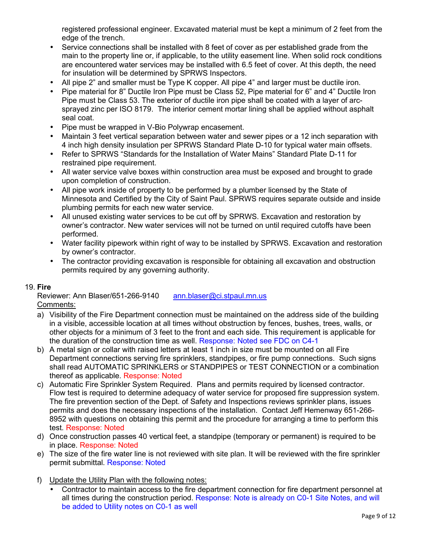registered professional engineer. Excavated material must be kept a minimum of 2 feet from the edge of the trench.

- Service connections shall be installed with 8 feet of cover as per established grade from the main to the property line or, if applicable, to the utility easement line. When solid rock conditions are encountered water services may be installed with 6.5 feet of cover. At this depth, the need for insulation will be determined by SPRWS Inspectors.
- All pipe 2" and smaller must be Type K copper. All pipe 4" and larger must be ductile iron.
- Pipe material for 8" Ductile Iron Pipe must be Class 52, Pipe material for 6" and 4" Ductile Iron Pipe must be Class 53. The exterior of ductile iron pipe shall be coated with a layer of arcsprayed zinc per ISO 8179. The interior cement mortar lining shall be applied without asphalt seal coat.
- Pipe must be wrapped in V-Bio Polywrap encasement.
- Maintain 3 feet vertical separation between water and sewer pipes or a 12 inch separation with 4 inch high density insulation per SPRWS Standard Plate D-10 for typical water main offsets.
- Refer to SPRWS "Standards for the Installation of Water Mains" Standard Plate D-11 for restrained pipe requirement.
- All water service valve boxes within construction area must be exposed and brought to grade upon completion of construction.
- All pipe work inside of property to be performed by a plumber licensed by the State of Minnesota and Certified by the City of Saint Paul. SPRWS requires separate outside and inside plumbing permits for each new water service.
- All unused existing water services to be cut off by SPRWS. Excavation and restoration by owner's contractor. New water services will not be turned on until required cutoffs have been performed.
- Water facility pipework within right of way to be installed by SPRWS. Excavation and restoration by owner's contractor.
- The contractor providing excavation is responsible for obtaining all excavation and obstruction permits required by any governing authority.

### 19. **Fire**

Reviewer: Ann Blaser/651-266-9140 ann.blaser@ci.stpaul.mn.us Comments:

- a) Visibility of the Fire Department connection must be maintained on the address side of the building in a visible, accessible location at all times without obstruction by fences, bushes, trees, walls, or other objects for a minimum of 3 feet to the front and each side. This requirement is applicable for the duration of the construction time as well. Response: Noted see FDC on C4-1
- b) A metal sign or collar with raised letters at least 1 inch in size must be mounted on all Fire Department connections serving fire sprinklers, standpipes, or fire pump connections. Such signs shall read AUTOMATIC SPRINKLERS or STANDPIPES or TEST CONNECTION or a combination thereof as applicable. Response: Noted
- c) Automatic Fire Sprinkler System Required. Plans and permits required by licensed contractor. Flow test is required to determine adequacy of water service for proposed fire suppression system. The fire prevention section of the Dept. of Safety and Inspections reviews sprinkler plans, issues permits and does the necessary inspections of the installation. Contact Jeff Hemenway 651-266- 8952 with questions on obtaining this permit and the procedure for arranging a time to perform this test. Response: Noted
- d) Once construction passes 40 vertical feet, a standpipe (temporary or permanent) is required to be in place. Response: Noted
- e) The size of the fire water line is not reviewed with site plan. It will be reviewed with the fire sprinkler permit submittal. Response: Noted
- f) Update the Utility Plan with the following notes:
	- Contractor to maintain access to the fire department connection for fire department personnel at all times during the construction period. Response: Note is already on C0-1 Site Notes, and will be added to Utility notes on C0-1 as well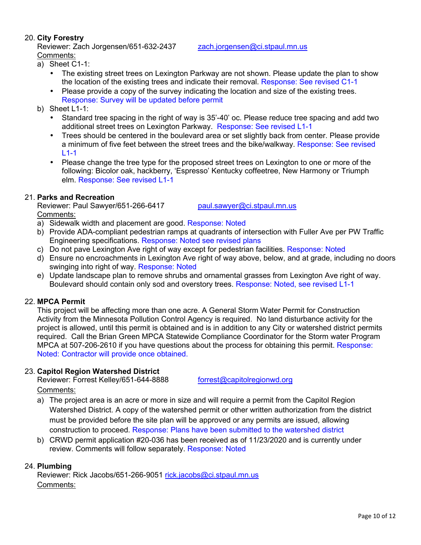## 20. **City Forestry**

Reviewer: Zach Jorgensen/651-632-2437 zach.jorgensen@ci.stpaul.mn.us Comments:

- a) Sheet C1-1:
	- The existing street trees on Lexington Parkway are not shown. Please update the plan to show the location of the existing trees and indicate their removal. Response: See revised C1-1
	- Please provide a copy of the survey indicating the location and size of the existing trees. Response: Survey will be updated before permit
- b) Sheet L1-1:
	- Standard tree spacing in the right of way is 35'-40' oc. Please reduce tree spacing and add two additional street trees on Lexington Parkway. Response: See revised L1-1
	- Trees should be centered in the boulevard area or set slightly back from center. Please provide a minimum of five feet between the street trees and the bike/walkway. Response: See revised  $L$ 1-1
	- Please change the tree type for the proposed street trees on Lexington to one or more of the following: Bicolor oak, hackberry, 'Espresso' Kentucky coffeetree, New Harmony or Triumph elm. Response: See revised L1-1

## 21. **Parks and Recreation**

Reviewer: Paul Sawyer/651-266-6417 paul.sawyer@ci.stpaul.mn.us

Comments:

- a) Sidewalk width and placement are good. Response: Noted
- b) Provide ADA-compliant pedestrian ramps at quadrants of intersection with Fuller Ave per PW Traffic Engineering specifications. Response: Noted see revised plans
- c) Do not pave Lexington Ave right of way except for pedestrian facilities. Response: Noted
- d) Ensure no encroachments in Lexington Ave right of way above, below, and at grade, including no doors swinging into right of way. Response: Noted
- e) Update landscape plan to remove shrubs and ornamental grasses from Lexington Ave right of way. Boulevard should contain only sod and overstory trees. Response: Noted, see revised L1-1

### 22. **MPCA Permit**

This project will be affecting more than one acre. A General Storm Water Permit for Construction Activity from the Minnesota Pollution Control Agency is required. No land disturbance activity for the project is allowed, until this permit is obtained and is in addition to any City or watershed district permits required. Call the Brian Green MPCA Statewide Compliance Coordinator for the Storm water Program MPCA at 507-206-2610 if you have questions about the process for obtaining this permit. Response: Noted: Contractor will provide once obtained.

### 23. **Capitol Region Watershed District**

Reviewer: Forrest Kelley/651-644-8888 forrest@capitolregionwd.org

### Comments:

- a) The project area is an acre or more in size and will require a permit from the Capitol Region Watershed District. A copy of the watershed permit or other written authorization from the district must be provided before the site plan will be approved or any permits are issued, allowing construction to proceed. Response: Plans have been submitted to the watershed district
- b) CRWD permit application #20-036 has been received as of 11/23/2020 and is currently under review. Comments will follow separately. Response: Noted

# 24. **Plumbing**

Reviewer: Rick Jacobs/651-266-9051 rick.jacobs@ci.stpaul.mn.us Comments: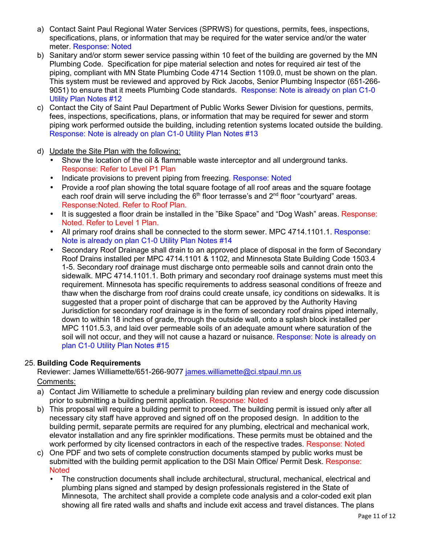- a) Contact Saint Paul Regional Water Services (SPRWS) for questions, permits, fees, inspections, specifications, plans, or information that may be required for the water service and/or the water meter. Response: Noted
- b) Sanitary and/or storm sewer service passing within 10 feet of the building are governed by the MN Plumbing Code. Specification for pipe material selection and notes for required air test of the piping, compliant with MN State Plumbing Code 4714 Section 1109.0, must be shown on the plan. This system must be reviewed and approved by Rick Jacobs, Senior Plumbing Inspector (651-266- 9051) to ensure that it meets Plumbing Code standards. Response: Note is already on plan C1-0 Utility Plan Notes #12
- c) Contact the City of Saint Paul Department of Public Works Sewer Division for questions, permits, fees, inspections, specifications, plans, or information that may be required for sewer and storm piping work performed outside the building, including retention systems located outside the building. Response: Note is already on plan C1-0 Utility Plan Notes #13
- d) Update the Site Plan with the following:
	- Show the location of the oil & flammable waste interceptor and all underground tanks. Response: Refer to Level P1 Plan
	- Indicate provisions to prevent piping from freezing. Response: Noted
	- Provide a roof plan showing the total square footage of all roof areas and the square footage each roof drain will serve including the 6<sup>th</sup> floor terrasse's and 2<sup>nd</sup> floor "courtyard" areas. Response:Noted. Refer to Roof Plan.
	- It is suggested a floor drain be installed in the "Bike Space" and "Dog Wash" areas. Response: Noted. Refer to Level 1 Plan.
	- All primary roof drains shall be connected to the storm sewer. MPC 4714.1101.1. Response: Note is already on plan C1-0 Utility Plan Notes #14
	- Secondary Roof Drainage shall drain to an approved place of disposal in the form of Secondary Roof Drains installed per MPC 4714.1101 & 1102, and Minnesota State Building Code 1503.4 1-5. Secondary roof drainage must discharge onto permeable soils and cannot drain onto the sidewalk. MPC 4714.1101.1. Both primary and secondary roof drainage systems must meet this requirement. Minnesota has specific requirements to address seasonal conditions of freeze and thaw when the discharge from roof drains could create unsafe, icy conditions on sidewalks. It is suggested that a proper point of discharge that can be approved by the Authority Having Jurisdiction for secondary roof drainage is in the form of secondary roof drains piped internally, down to within 18 inches of grade, through the outside wall, onto a splash block installed per MPC 1101.5.3, and laid over permeable soils of an adequate amount where saturation of the soil will not occur, and they will not cause a hazard or nuisance. Response: Note is already on plan C1-0 Utility Plan Notes #15

# 25. **Building Code Requirements**

Reviewer: James Williamette/651-266-9077 james.williamette@ci.stpaul.mn.us

Comments:

- a) Contact Jim Williamette to schedule a preliminary building plan review and energy code discussion prior to submitting a building permit application. Response: Noted
- b) This proposal will require a building permit to proceed. The building permit is issued only after all necessary city staff have approved and signed off on the proposed design. In addition to the building permit, separate permits are required for any plumbing, electrical and mechanical work, elevator installation and any fire sprinkler modifications. These permits must be obtained and the work performed by city licensed contractors in each of the respective trades. Response: Noted
- c) One PDF and two sets of complete construction documents stamped by public works must be submitted with the building permit application to the DSI Main Office/ Permit Desk. Response: **Noted** 
	- The construction documents shall include architectural, structural, mechanical, electrical and plumbing plans signed and stamped by design professionals registered in the State of Minnesota, The architect shall provide a complete code analysis and a color-coded exit plan showing all fire rated walls and shafts and include exit access and travel distances. The plans